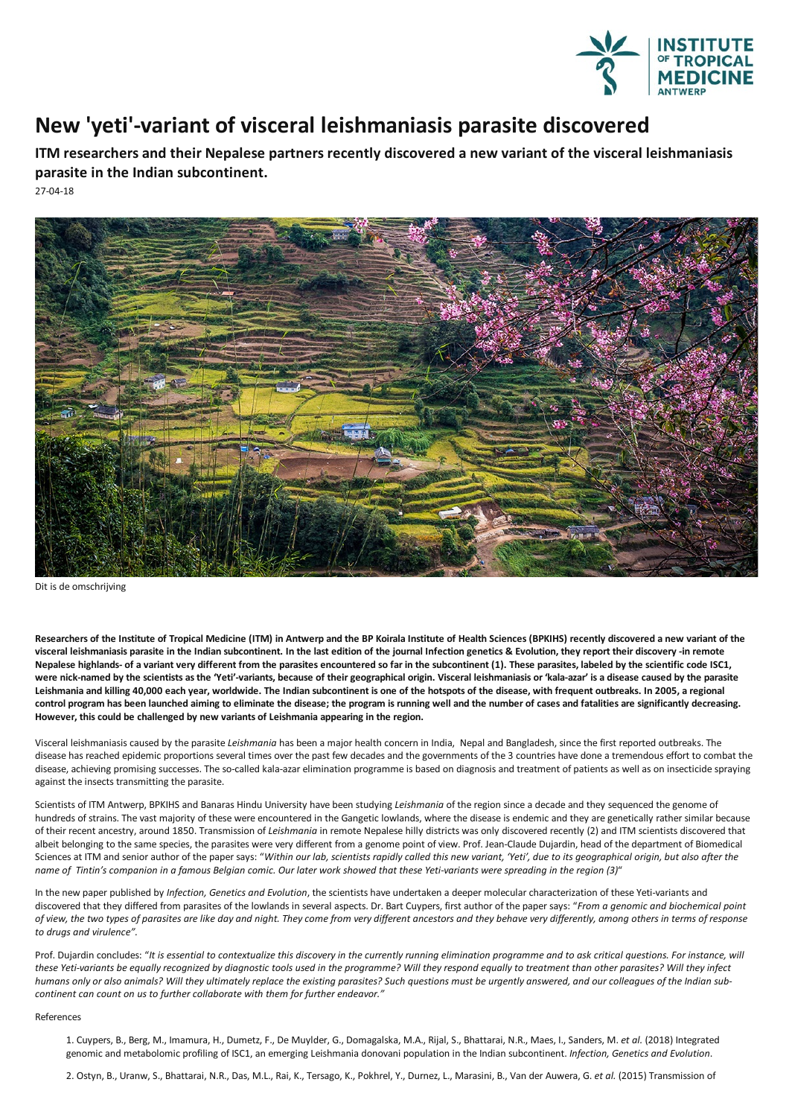

## **New 'veti'-variant of visceral leishmaniasis parasite discovered**

**ITM researchers and their Nepalese partners recently discovered a new variant of the visceral leishmaniasis parasite in the Indian subcontinent.**

27-04-18



Dit is de omschrijving

Researchers of the Institute of Tropical Medicine (ITM) in Antwerp and the BP Koirala Institute of Health Sciences (BPKIHS) recently discovered a new variant of the visceral leishmaniasis parasite in the Indian subcontinent. In the last edition of the journal Infection genetics & Evolution, they report their discovery -in remote<br>Nepalese highlands- of a variant very different from the Leishmania and killing 40,000 each year, worldwide. The Indian subcontinent is one of the hotspots of the disease, with frequent outbreaks. In 2005, a regional control program has been launched aiming to eliminate the disease; the program is running well and the number of cases and fatalities are significantly decreasing.<br>However, this could be challenged by new variants of Leish

Visceral leishmaniasis caused by the parasite *Leishmania* has been a major health concern in India, Nepal and Bangladesh, since the first reported outbreaks.The disease has reached epidemic proportions several times over the past few decades and the governments of the 3 countries have done a tremendous effort to combat the disease, achieving promising successes. The so-called kala-azar elimination programme is based on diagnosis and treatment of patients as well as on insecticide spraying against the insects transmitting the parasite.

Scientists of ITM Antwerp, BPKIHS and Banaras Hindu University have been studying *Leishmania* of the region since a decade and they sequenced the genome of hundreds of strains. The vast majority of these were encountered in the Gangetic lowlands, where the disease is endemic and they are genetically rather similar because of their recent ancestry, around 1850. Transmission of *Leishmania* in remote Nepalese hilly districts was only discovered recently (2) and ITM scientists discovered that albeit belonging to the same species, the parasites were very different from a genome point of view. Prof. Jean-Claude Dujardin, head of the department of Biomedical Sciences at ITM and senior author of the paper says: "Within our lab, scientists rapidly called this new variant, 'Yeti', due to its geographical origin, but also after the name of Tintin's companion in a famous Belgian comic. Our later work showed that these Yeti-variants were spreading in the region (3)"

In the new paper published by *Infection, Genetics and Evolution*, the scientists have undertaken a deeper molecular characterization of these Yeti-variantsand discovered that they differed from parasites of the lowlands in several aspects. Dr. Bart Cuypers, firstauthor of the paper says: "*From a genomic and biochemical point* of view, the two types of parasites are like day and night. They come from very different ancestors and they behave very differently, among others in terms of response *to drugs and virulence".*

Prof. Dujardin concludes: "It is essential to contextualize this discovery in the currently running elimination programme and to ask critical questions. For instance, will these Yeti-variants be equally recognized by diagnostic tools used in the programme? Will they respond equally to treatment than other parasites? Will they infect humans only or also animals? Will they ultimately replace the existing parasites? Such questions must be urgently answered, and our colleagues of the Indian sub*continent can count on us to further collaborate with them for further endeavor."* 

## References

1. Cuypers, B., Berg, M., Imamura, H., Dumetz,F., DeMuylder, G., Domagalska, M.A., Rijal,S., Bhattarai, N.R., Maes, I.,Sanders, M.*et al.* (2018) Integrated genomicand metabolomic profiling of ISC1,an emerging Leishmania donovani population in the Indian subcontinent. *Infection, Genetics and Evolution*.

2. Ostyn, B., Uranw,S., Bhattarai, N.R., Das, M.L., Rai, K.,Tersago, K., Pokhrel,Y., Durnez, L., Marasini, B., Van der Auwera, G.*et al.* (2015)Transmission of